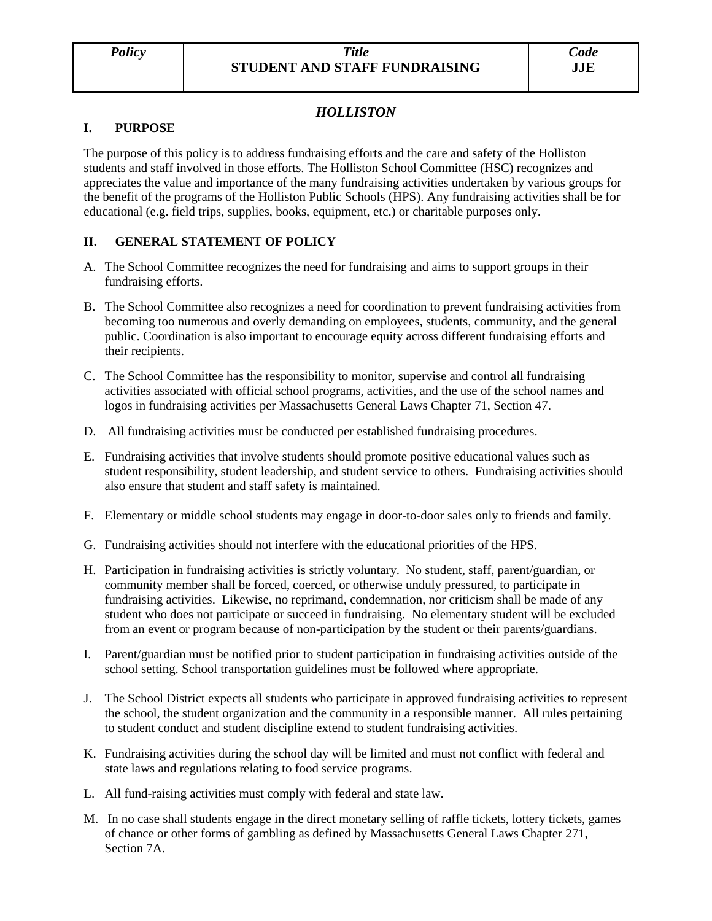# *HOLLISTON*

### **I. PURPOSE**

The purpose of this policy is to address fundraising efforts and the care and safety of the Holliston students and staff involved in those efforts. The Holliston School Committee (HSC) recognizes and appreciates the value and importance of the many fundraising activities undertaken by various groups for the benefit of the programs of the Holliston Public Schools (HPS). Any fundraising activities shall be for educational (e.g. field trips, supplies, books, equipment, etc.) or charitable purposes only.

## **II. GENERAL STATEMENT OF POLICY**

- A. The School Committee recognizes the need for fundraising and aims to support groups in their fundraising efforts.
- B. The School Committee also recognizes a need for coordination to prevent fundraising activities from becoming too numerous and overly demanding on employees, students, community, and the general public. Coordination is also important to encourage equity across different fundraising efforts and their recipients.
- C. The School Committee has the responsibility to monitor, supervise and control all fundraising activities associated with official school programs, activities, and the use of the school names and logos in fundraising activities per Massachusetts General Laws Chapter 71, Section 47.
- D. All fundraising activities must be conducted per established fundraising procedures.
- E. Fundraising activities that involve students should promote positive educational values such as student responsibility, student leadership, and student service to others. Fundraising activities should also ensure that student and staff safety is maintained.
- F. Elementary or middle school students may engage in door-to-door sales only to friends and family.
- G. Fundraising activities should not interfere with the educational priorities of the HPS.
- H. Participation in fundraising activities is strictly voluntary. No student, staff, parent/guardian, or community member shall be forced, coerced, or otherwise unduly pressured, to participate in fundraising activities. Likewise, no reprimand, condemnation, nor criticism shall be made of any student who does not participate or succeed in fundraising. No elementary student will be excluded from an event or program because of non-participation by the student or their parents/guardians.
- I. Parent/guardian must be notified prior to student participation in fundraising activities outside of the school setting. School transportation guidelines must be followed where appropriate.
- J. The School District expects all students who participate in approved fundraising activities to represent the school, the student organization and the community in a responsible manner. All rules pertaining to student conduct and student discipline extend to student fundraising activities.
- K. Fundraising activities during the school day will be limited and must not conflict with federal and state laws and regulations relating to food service programs.
- L. All fund-raising activities must comply with federal and state law.
- M. In no case shall students engage in the direct monetary selling of raffle tickets, lottery tickets, games of chance or other forms of gambling as defined by Massachusetts General Laws Chapter 271, Section 7A.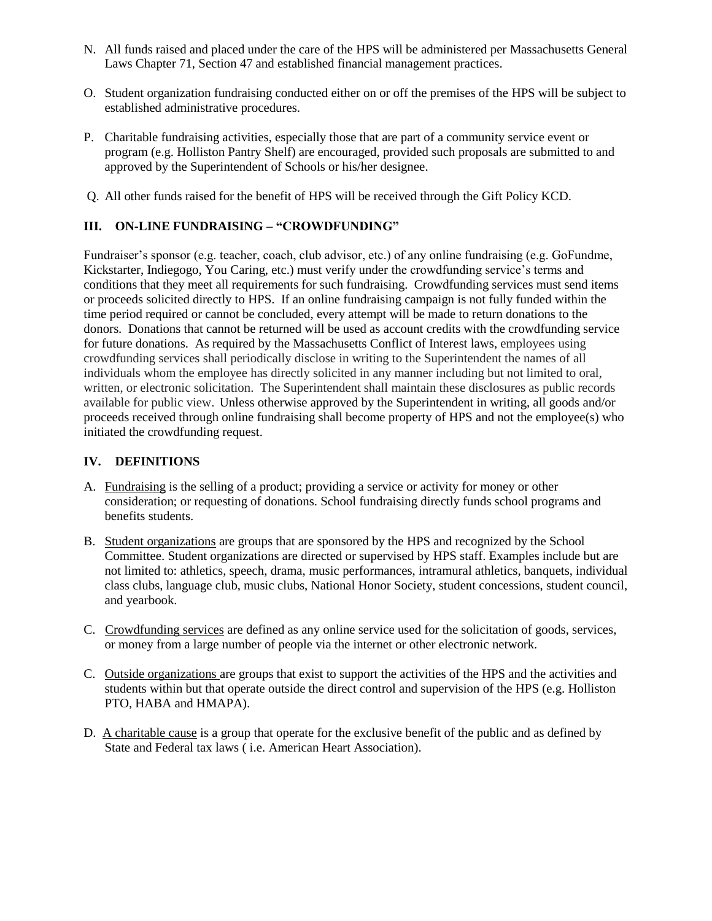- N. All funds raised and placed under the care of the HPS will be administered per Massachusetts General Laws Chapter 71, Section 47 and established financial management practices.
- O. Student organization fundraising conducted either on or off the premises of the HPS will be subject to established administrative procedures.
- P. Charitable fundraising activities, especially those that are part of a community service event or program (e.g. Holliston Pantry Shelf) are encouraged, provided such proposals are submitted to and approved by the Superintendent of Schools or his/her designee.
- Q. All other funds raised for the benefit of HPS will be received through the Gift Policy KCD.

### **III. ON-LINE FUNDRAISING – "CROWDFUNDING"**

Fundraiser's sponsor (e.g. teacher, coach, club advisor, etc.) of any online fundraising (e.g. GoFundme, Kickstarter, Indiegogo, You Caring, etc.) must verify under the crowdfunding service's terms and conditions that they meet all requirements for such fundraising. Crowdfunding services must send items or proceeds solicited directly to HPS. If an online fundraising campaign is not fully funded within the time period required or cannot be concluded, every attempt will be made to return donations to the donors. Donations that cannot be returned will be used as account credits with the crowdfunding service for future donations. As required by the Massachusetts Conflict of Interest laws, employees using crowdfunding services shall periodically disclose in writing to the Superintendent the names of all individuals whom the employee has directly solicited in any manner including but not limited to oral, written, or electronic solicitation. The Superintendent shall maintain these disclosures as public records available for public view. Unless otherwise approved by the Superintendent in writing, all goods and/or proceeds received through online fundraising shall become property of HPS and not the employee(s) who initiated the crowdfunding request.

#### **IV. DEFINITIONS**

- A. Fundraising is the selling of a product; providing a service or activity for money or other consideration; or requesting of donations. School fundraising directly funds school programs and benefits students.
- B. Student organizations are groups that are sponsored by the HPS and recognized by the School Committee. Student organizations are directed or supervised by HPS staff. Examples include but are not limited to: athletics, speech, drama, music performances, intramural athletics, banquets, individual class clubs, language club, music clubs, National Honor Society, student concessions, student council, and yearbook.
- C. Crowdfunding services are defined as any online service used for the solicitation of goods, services, or money from a large number of people via the internet or other electronic network.
- C. Outside organizations are groups that exist to support the activities of the HPS and the activities and students within but that operate outside the direct control and supervision of the HPS (e.g. Holliston PTO, HABA and HMAPA).
- D. A charitable cause is a group that operate for the exclusive benefit of the public and as defined by State and Federal tax laws ( i.e. American Heart Association).